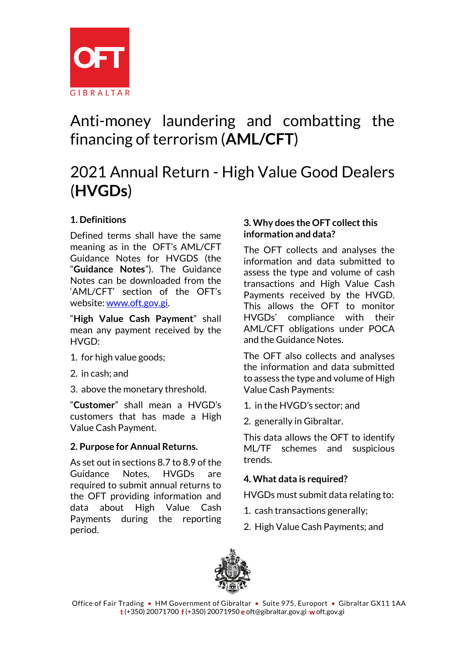

# Anti-money laundering and combatting the financing of terrorism (**AML/CFT**)

# 2021 Annual Return - High Value Good Dealers (**HVGDs**)

## **1. Definitions**

Defined terms shall have the same meaning as in the OFT's AML/CFT Guidance Notes for HVGDS (the "**Guidance Notes**"). The Guidance Notes can be downloaded from the 'AML/CFT' section of the OFT's website[: www.oft.gov.gi.](http://www.oft.gov.gi/)

"**High Value Cash Payment**" shall mean any payment received by the HVGD:

- 1. for high value goods;
- 2. in cash; and
- 3. above the monetary threshold.

"**Customer**" shall mean a HVGD's customers that has made a High Value Cash Payment.

## **2. Purpose for Annual Returns.**

As set out in sections 8.7 to 8.9 of the Guidance Notes, HVGDs are required to submit annual returns to the OFT providing information and data about High Value Cash Payments during the reporting period.

### **3. Why does the OFT collect this information and data?**

The OFT collects and analyses the information and data submitted to assess the type and volume of cash transactions and High Value Cash Payments received by the HVGD. This allows the OFT to monitor HVGDs' compliance with their AML/CFT obligations under POCA and the Guidance Notes.

The OFT also collects and analyses the information and data submitted to assess the type and volume of High Value Cash Payments:

- 1. in the HVGD's sector; and
- 2. generally in Gibraltar.

This data allows the OFT to identify ML/TF schemes and suspicious trends.

## **4. What data is required?**

HVGDs must submit data relating to:

- 1. cash transactions generally;
- 2. High Value Cash Payments; and

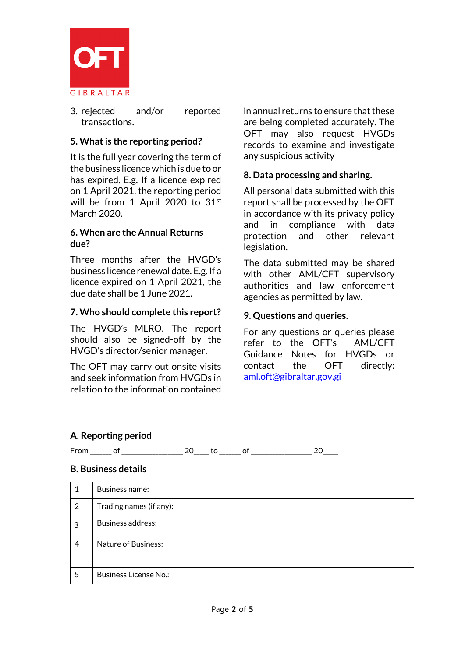

3. rejected and/or reported transactions.

#### **5. What is the reporting period?**

It is the full year covering the term of the business licence which is due to or has expired. E.g. If a licence expired on 1 April 2021, the reporting period will be from 1 April 2020 to 31<sup>st</sup> March 2020.

#### **6. When are the Annual Returns due?**

Three months after the HVGD's business licence renewal date. E.g. If a licence expired on 1 April 2021, the due date shall be 1 June 2021.

#### **7. Who should complete this report?**

The HVGD's MLRO. The report should also be signed-off by the HVGD's director/senior manager.

The OFT may carry out onsite visits and seek information from HVGDs in relation to the information contained in annual returns to ensure that these are being completed accurately. The OFT may also request HVGDs records to examine and investigate any suspicious activity

#### **8. Data processing and sharing.**

All personal data submitted with this report shall be processed by the OFT in accordance with its privacy policy and in compliance with data protection and other relevant legislation.

The data submitted may be shared with other AML/CFT supervisory authorities and law enforcement agencies as permitted by law.

#### **9. Questions and queries.**

For any questions or queries please refer to the OFT's AML/CFT Guidance Notes for HVGDs or contact the OFT directly: [aml.oft@gibraltar.gov.gi](mailto:aml.oft@gibraltar.gov.gi)

#### **A. Reporting period**

From \_\_\_\_\_\_\_ of \_\_\_\_\_\_\_\_\_\_\_\_\_\_\_\_\_\_\_\_ 20\_\_\_\_\_ to \_\_\_\_\_\_\_ of \_\_\_\_\_\_\_\_\_\_\_\_\_\_\_\_\_\_\_\_ 20\_\_\_\_\_

#### **B. Business details**

|   | Business name:               |  |
|---|------------------------------|--|
| 2 | Trading names (if any):      |  |
| 3 | Business address:            |  |
| 4 | <b>Nature of Business:</b>   |  |
| 5 | <b>Business License No.:</b> |  |

**\_\_\_\_\_\_\_\_\_\_\_\_\_\_\_\_\_\_\_\_\_\_\_\_\_\_\_\_\_\_\_\_\_\_\_\_\_\_\_\_\_\_\_\_\_\_\_\_\_\_\_\_\_\_\_\_\_\_\_\_\_\_\_\_\_\_\_\_\_\_\_\_\_\_\_\_\_\_\_\_\_\_\_\_\_\_\_\_\_\_\_\_\_\_\_\_\_\_\_\_\_\_\_\_\_**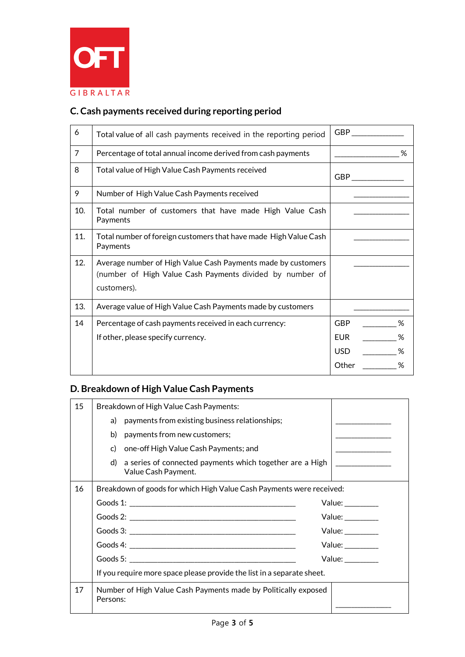

# **C. Cash payments received during reporting period**

| 6              | Total value of all cash payments received in the reporting period                                                                       | GBP                                                     |
|----------------|-----------------------------------------------------------------------------------------------------------------------------------------|---------------------------------------------------------|
| $\overline{7}$ | Percentage of total annual income derived from cash payments                                                                            | %                                                       |
| 8              | Total value of High Value Cash Payments received                                                                                        | GBP                                                     |
| 9              | Number of High Value Cash Payments received                                                                                             |                                                         |
| 10.            | Total number of customers that have made High Value Cash<br>Payments                                                                    |                                                         |
| 11.            | Total number of foreign customers that have made High Value Cash<br>Payments                                                            |                                                         |
| 12.            | Average number of High Value Cash Payments made by customers<br>(number of High Value Cash Payments divided by number of<br>customers). |                                                         |
| 13.            | Average value of High Value Cash Payments made by customers                                                                             |                                                         |
| 14             | Percentage of cash payments received in each currency:<br>If other, please specify currency.                                            | <b>GBP</b><br>%<br>EUR.<br>℅<br>USD.<br>℅<br>Other<br>℅ |

## **D. Breakdown of High Value Cash Payments**

| 15 |                                                                      | Breakdown of High Value Cash Payments:                                          |                                |  |
|----|----------------------------------------------------------------------|---------------------------------------------------------------------------------|--------------------------------|--|
|    |                                                                      | a) payments from existing business relationships;                               |                                |  |
|    |                                                                      | b) payments from new customers;                                                 |                                |  |
|    |                                                                      | c) one-off High Value Cash Payments; and                                        |                                |  |
|    | d)                                                                   | a series of connected payments which together are a High<br>Value Cash Payment. |                                |  |
| 16 | Breakdown of goods for which High Value Cash Payments were received: |                                                                                 |                                |  |
|    |                                                                      |                                                                                 | Value: _________               |  |
|    |                                                                      |                                                                                 | Value: _________               |  |
|    |                                                                      |                                                                                 | Value:                         |  |
|    |                                                                      |                                                                                 | Value:<br>Value: $\frac{1}{2}$ |  |
|    |                                                                      |                                                                                 |                                |  |
|    |                                                                      | If you require more space please provide the list in a separate sheet.          |                                |  |
| 17 | Persons:                                                             | Number of High Value Cash Payments made by Politically exposed                  |                                |  |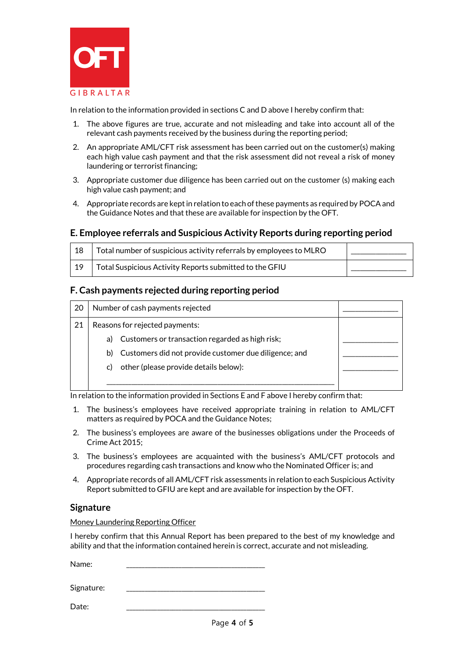

In relation to the information provided in sections C and D above I hereby confirm that:

- 1. The above figures are true, accurate and not misleading and take into account all of the relevant cash payments received by the business during the reporting period;
- 2. An appropriate AML/CFT risk assessment has been carried out on the customer(s) making each high value cash payment and that the risk assessment did not reveal a risk of money laundering or terrorist financing;
- 3. Appropriate customer due diligence has been carried out on the customer (s) making each high value cash payment; and
- 4. Appropriate records are kept in relation to each of these payments as required by POCA and the Guidance Notes and that these are available for inspection by the OFT.

#### **E. Employee referrals and Suspicious Activity Reports during reporting period**

| 18 | Total number of suspicious activity referrals by employees to MLRO |  |
|----|--------------------------------------------------------------------|--|
| 19 | Total Suspicious Activity Reports submitted to the GFIU            |  |

#### **F. Cash payments rejected during reporting period**

| 20 | Number of cash payments rejected |                                                       |  |
|----|----------------------------------|-------------------------------------------------------|--|
| 21 | Reasons for rejected payments:   |                                                       |  |
|    | a)                               | Customers or transaction regarded as high risk;       |  |
|    | b)                               | Customers did not provide customer due diligence; and |  |
|    | C)                               | other (please provide details below):                 |  |
|    |                                  |                                                       |  |

In relation to the information provided in Sections E and F above I hereby confirm that:

- 1. The business's employees have received appropriate training in relation to AML/CFT matters as required by POCA and the Guidance Notes;
- 2. The business's employees are aware of the businesses obligations under the Proceeds of Crime Act 2015;
- 3. The business's employees are acquainted with the business's AML/CFT protocols and procedures regarding cash transactions and know who the Nominated Officer is; and
- 4. Appropriate records of all AML/CFT risk assessments in relation to each Suspicious Activity Report submitted to GFIU are kept and are available for inspection by the OFT.

#### **Signature**

Money Laundering Reporting Officer

I hereby confirm that this Annual Report has been prepared to the best of my knowledge and ability and that the information contained herein is correct, accurate and not misleading.

Name: \_\_\_\_\_\_\_\_\_\_\_\_\_\_\_\_\_\_\_\_\_\_\_\_\_\_\_\_\_\_\_\_\_\_\_\_\_\_\_\_\_\_\_\_\_

Signature:

Date: \_\_\_\_\_\_\_\_\_\_\_\_\_\_\_\_\_\_\_\_\_\_\_\_\_\_\_\_\_\_\_\_\_\_\_\_\_\_\_\_\_\_\_\_\_